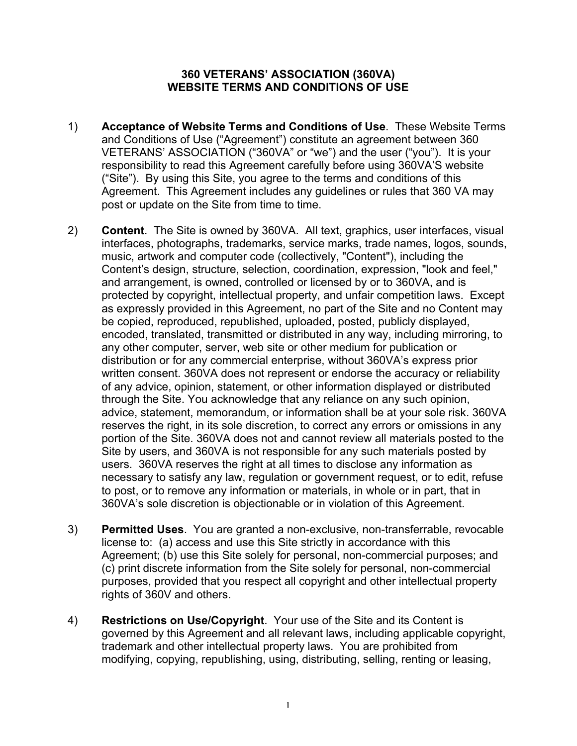## **360 VETERANS' ASSOCIATION (360VA) WEBSITE TERMS AND CONDITIONS OF USE**

- 1) **Acceptance of Website Terms and Conditions of Use**. These Website Terms and Conditions of Use ("Agreement") constitute an agreement between 360 VETERANS' ASSOCIATION ("360VA" or "we") and the user ("you"). It is your responsibility to read this Agreement carefully before using 360VA'S website ("Site"). By using this Site, you agree to the terms and conditions of this Agreement. This Agreement includes any guidelines or rules that 360 VA may post or update on the Site from time to time.
- 2) **Content**. The Site is owned by 360VA. All text, graphics, user interfaces, visual interfaces, photographs, trademarks, service marks, trade names, logos, sounds, music, artwork and computer code (collectively, "Content"), including the Content's design, structure, selection, coordination, expression, "look and feel," and arrangement, is owned, controlled or licensed by or to 360VA, and is protected by copyright, intellectual property, and unfair competition laws. Except as expressly provided in this Agreement, no part of the Site and no Content may be copied, reproduced, republished, uploaded, posted, publicly displayed, encoded, translated, transmitted or distributed in any way, including mirroring, to any other computer, server, web site or other medium for publication or distribution or for any commercial enterprise, without 360VA's express prior written consent. 360VA does not represent or endorse the accuracy or reliability of any advice, opinion, statement, or other information displayed or distributed through the Site. You acknowledge that any reliance on any such opinion, advice, statement, memorandum, or information shall be at your sole risk. 360VA reserves the right, in its sole discretion, to correct any errors or omissions in any portion of the Site. 360VA does not and cannot review all materials posted to the Site by users, and 360VA is not responsible for any such materials posted by users. 360VA reserves the right at all times to disclose any information as necessary to satisfy any law, regulation or government request, or to edit, refuse to post, or to remove any information or materials, in whole or in part, that in 360VA's sole discretion is objectionable or in violation of this Agreement.
- 3) **Permitted Uses**. You are granted a non-exclusive, non-transferrable, revocable license to: (a) access and use this Site strictly in accordance with this Agreement; (b) use this Site solely for personal, non-commercial purposes; and (c) print discrete information from the Site solely for personal, non-commercial purposes, provided that you respect all copyright and other intellectual property rights of 360V and others.
- 4) **Restrictions on Use/Copyright**. Your use of the Site and its Content is governed by this Agreement and all relevant laws, including applicable copyright, trademark and other intellectual property laws. You are prohibited from modifying, copying, republishing, using, distributing, selling, renting or leasing,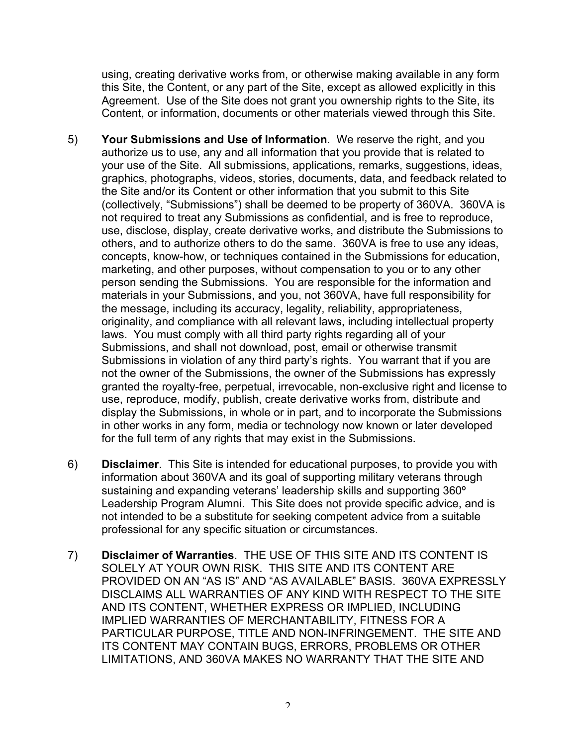using, creating derivative works from, or otherwise making available in any form this Site, the Content, or any part of the Site, except as allowed explicitly in this Agreement. Use of the Site does not grant you ownership rights to the Site, its Content, or information, documents or other materials viewed through this Site.

- 5) **Your Submissions and Use of Information**. We reserve the right, and you authorize us to use, any and all information that you provide that is related to your use of the Site. All submissions, applications, remarks, suggestions, ideas, graphics, photographs, videos, stories, documents, data, and feedback related to the Site and/or its Content or other information that you submit to this Site (collectively, "Submissions") shall be deemed to be property of 360VA. 360VA is not required to treat any Submissions as confidential, and is free to reproduce, use, disclose, display, create derivative works, and distribute the Submissions to others, and to authorize others to do the same. 360VA is free to use any ideas, concepts, know-how, or techniques contained in the Submissions for education, marketing, and other purposes, without compensation to you or to any other person sending the Submissions. You are responsible for the information and materials in your Submissions, and you, not 360VA, have full responsibility for the message, including its accuracy, legality, reliability, appropriateness, originality, and compliance with all relevant laws, including intellectual property laws. You must comply with all third party rights regarding all of your Submissions, and shall not download, post, email or otherwise transmit Submissions in violation of any third party's rights. You warrant that if you are not the owner of the Submissions, the owner of the Submissions has expressly granted the royalty-free, perpetual, irrevocable, non-exclusive right and license to use, reproduce, modify, publish, create derivative works from, distribute and display the Submissions, in whole or in part, and to incorporate the Submissions in other works in any form, media or technology now known or later developed for the full term of any rights that may exist in the Submissions.
- 6) **Disclaimer**. This Site is intended for educational purposes, to provide you with information about 360VA and its goal of supporting military veterans through sustaining and expanding veterans' leadership skills and supporting 360º Leadership Program Alumni. This Site does not provide specific advice, and is not intended to be a substitute for seeking competent advice from a suitable professional for any specific situation or circumstances.
- 7) **Disclaimer of Warranties**. THE USE OF THIS SITE AND ITS CONTENT IS SOLELY AT YOUR OWN RISK. THIS SITE AND ITS CONTENT ARE PROVIDED ON AN "AS IS" AND "AS AVAILABLE" BASIS. 360VA EXPRESSLY DISCLAIMS ALL WARRANTIES OF ANY KIND WITH RESPECT TO THE SITE AND ITS CONTENT, WHETHER EXPRESS OR IMPLIED, INCLUDING IMPLIED WARRANTIES OF MERCHANTABILITY, FITNESS FOR A PARTICULAR PURPOSE, TITLE AND NON-INFRINGEMENT. THE SITE AND ITS CONTENT MAY CONTAIN BUGS, ERRORS, PROBLEMS OR OTHER LIMITATIONS, AND 360VA MAKES NO WARRANTY THAT THE SITE AND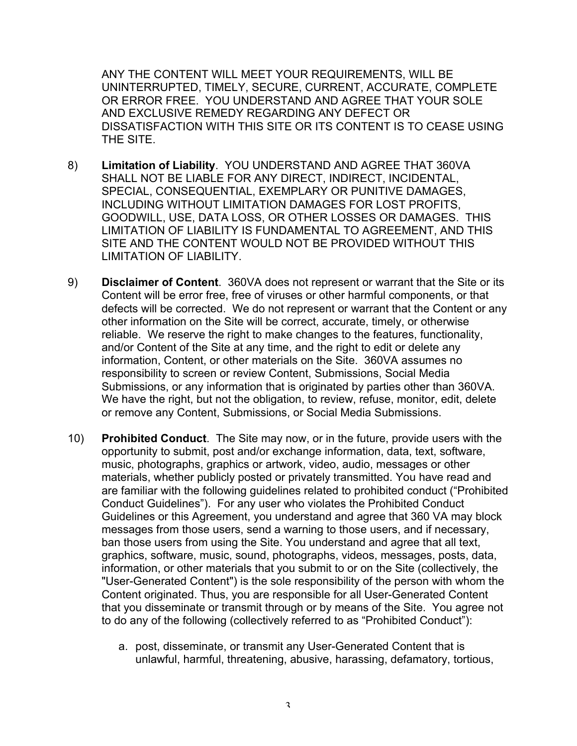ANY THE CONTENT WILL MEET YOUR REQUIREMENTS, WILL BE UNINTERRUPTED, TIMELY, SECURE, CURRENT, ACCURATE, COMPLETE OR ERROR FREE. YOU UNDERSTAND AND AGREE THAT YOUR SOLE AND EXCLUSIVE REMEDY REGARDING ANY DEFECT OR DISSATISFACTION WITH THIS SITE OR ITS CONTENT IS TO CEASE USING THE SITE.

- 8) **Limitation of Liability**. YOU UNDERSTAND AND AGREE THAT 360VA SHALL NOT BE LIABLE FOR ANY DIRECT, INDIRECT, INCIDENTAL, SPECIAL, CONSEQUENTIAL, EXEMPLARY OR PUNITIVE DAMAGES, INCLUDING WITHOUT LIMITATION DAMAGES FOR LOST PROFITS, GOODWILL, USE, DATA LOSS, OR OTHER LOSSES OR DAMAGES. THIS LIMITATION OF LIABILITY IS FUNDAMENTAL TO AGREEMENT, AND THIS SITE AND THE CONTENT WOULD NOT BE PROVIDED WITHOUT THIS LIMITATION OF LIABILITY.
- 9) **Disclaimer of Content**. 360VA does not represent or warrant that the Site or its Content will be error free, free of viruses or other harmful components, or that defects will be corrected. We do not represent or warrant that the Content or any other information on the Site will be correct, accurate, timely, or otherwise reliable. We reserve the right to make changes to the features, functionality, and/or Content of the Site at any time, and the right to edit or delete any information, Content, or other materials on the Site. 360VA assumes no responsibility to screen or review Content, Submissions, Social Media Submissions, or any information that is originated by parties other than 360VA. We have the right, but not the obligation, to review, refuse, monitor, edit, delete or remove any Content, Submissions, or Social Media Submissions.
- 10) **Prohibited Conduct**. The Site may now, or in the future, provide users with the opportunity to submit, post and/or exchange information, data, text, software, music, photographs, graphics or artwork, video, audio, messages or other materials, whether publicly posted or privately transmitted. You have read and are familiar with the following guidelines related to prohibited conduct ("Prohibited Conduct Guidelines"). For any user who violates the Prohibited Conduct Guidelines or this Agreement, you understand and agree that 360 VA may block messages from those users, send a warning to those users, and if necessary, ban those users from using the Site. You understand and agree that all text, graphics, software, music, sound, photographs, videos, messages, posts, data, information, or other materials that you submit to or on the Site (collectively, the "User-Generated Content") is the sole responsibility of the person with whom the Content originated. Thus, you are responsible for all User-Generated Content that you disseminate or transmit through or by means of the Site. You agree not to do any of the following (collectively referred to as "Prohibited Conduct"):
	- a. post, disseminate, or transmit any User-Generated Content that is unlawful, harmful, threatening, abusive, harassing, defamatory, tortious,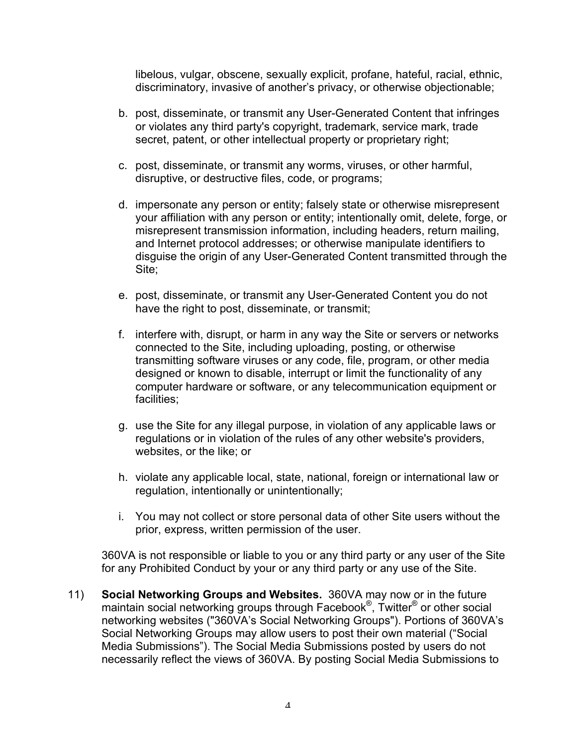libelous, vulgar, obscene, sexually explicit, profane, hateful, racial, ethnic, discriminatory, invasive of another's privacy, or otherwise objectionable;

- b. post, disseminate, or transmit any User-Generated Content that infringes or violates any third party's copyright, trademark, service mark, trade secret, patent, or other intellectual property or proprietary right;
- c. post, disseminate, or transmit any worms, viruses, or other harmful, disruptive, or destructive files, code, or programs;
- d. impersonate any person or entity; falsely state or otherwise misrepresent your affiliation with any person or entity; intentionally omit, delete, forge, or misrepresent transmission information, including headers, return mailing, and Internet protocol addresses; or otherwise manipulate identifiers to disguise the origin of any User-Generated Content transmitted through the Site;
- e. post, disseminate, or transmit any User-Generated Content you do not have the right to post, disseminate, or transmit;
- f. interfere with, disrupt, or harm in any way the Site or servers or networks connected to the Site, including uploading, posting, or otherwise transmitting software viruses or any code, file, program, or other media designed or known to disable, interrupt or limit the functionality of any computer hardware or software, or any telecommunication equipment or facilities;
- g. use the Site for any illegal purpose, in violation of any applicable laws or regulations or in violation of the rules of any other website's providers, websites, or the like; or
- h. violate any applicable local, state, national, foreign or international law or regulation, intentionally or unintentionally;
- i. You may not collect or store personal data of other Site users without the prior, express, written permission of the user.

360VA is not responsible or liable to you or any third party or any user of the Site for any Prohibited Conduct by your or any third party or any use of the Site.

11) **Social Networking Groups and Websites.** 360VA may now or in the future maintain social networking groups through Facebook®, Twitter® or other social networking websites ("360VA's Social Networking Groups"). Portions of 360VA's Social Networking Groups may allow users to post their own material ("Social Media Submissions"). The Social Media Submissions posted by users do not necessarily reflect the views of 360VA. By posting Social Media Submissions to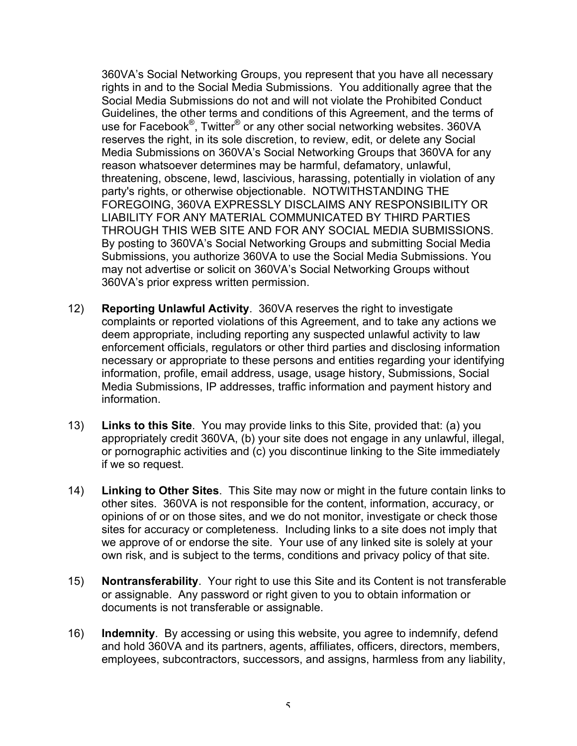360VA's Social Networking Groups, you represent that you have all necessary rights in and to the Social Media Submissions. You additionally agree that the Social Media Submissions do not and will not violate the Prohibited Conduct Guidelines, the other terms and conditions of this Agreement, and the terms of use for Facebook®, Twitter® or any other social networking websites. 360VA reserves the right, in its sole discretion, to review, edit, or delete any Social Media Submissions on 360VA's Social Networking Groups that 360VA for any reason whatsoever determines may be harmful, defamatory, unlawful, threatening, obscene, lewd, lascivious, harassing, potentially in violation of any party's rights, or otherwise objectionable. NOTWITHSTANDING THE FOREGOING, 360VA EXPRESSLY DISCLAIMS ANY RESPONSIBILITY OR LIABILITY FOR ANY MATERIAL COMMUNICATED BY THIRD PARTIES THROUGH THIS WEB SITE AND FOR ANY SOCIAL MEDIA SUBMISSIONS. By posting to 360VA's Social Networking Groups and submitting Social Media Submissions, you authorize 360VA to use the Social Media Submissions. You may not advertise or solicit on 360VA's Social Networking Groups without 360VA's prior express written permission.

- 12) **Reporting Unlawful Activity**. 360VA reserves the right to investigate complaints or reported violations of this Agreement, and to take any actions we deem appropriate, including reporting any suspected unlawful activity to law enforcement officials, regulators or other third parties and disclosing information necessary or appropriate to these persons and entities regarding your identifying information, profile, email address, usage, usage history, Submissions, Social Media Submissions, IP addresses, traffic information and payment history and information.
- 13) **Links to this Site**. You may provide links to this Site, provided that: (a) you appropriately credit 360VA, (b) your site does not engage in any unlawful, illegal, or pornographic activities and (c) you discontinue linking to the Site immediately if we so request.
- 14) **Linking to Other Sites**. This Site may now or might in the future contain links to other sites. 360VA is not responsible for the content, information, accuracy, or opinions of or on those sites, and we do not monitor, investigate or check those sites for accuracy or completeness. Including links to a site does not imply that we approve of or endorse the site. Your use of any linked site is solely at your own risk, and is subject to the terms, conditions and privacy policy of that site.
- 15) **Nontransferability**. Your right to use this Site and its Content is not transferable or assignable. Any password or right given to you to obtain information or documents is not transferable or assignable.
- 16) **Indemnity**. By accessing or using this website, you agree to indemnify, defend and hold 360VA and its partners, agents, affiliates, officers, directors, members, employees, subcontractors, successors, and assigns, harmless from any liability,